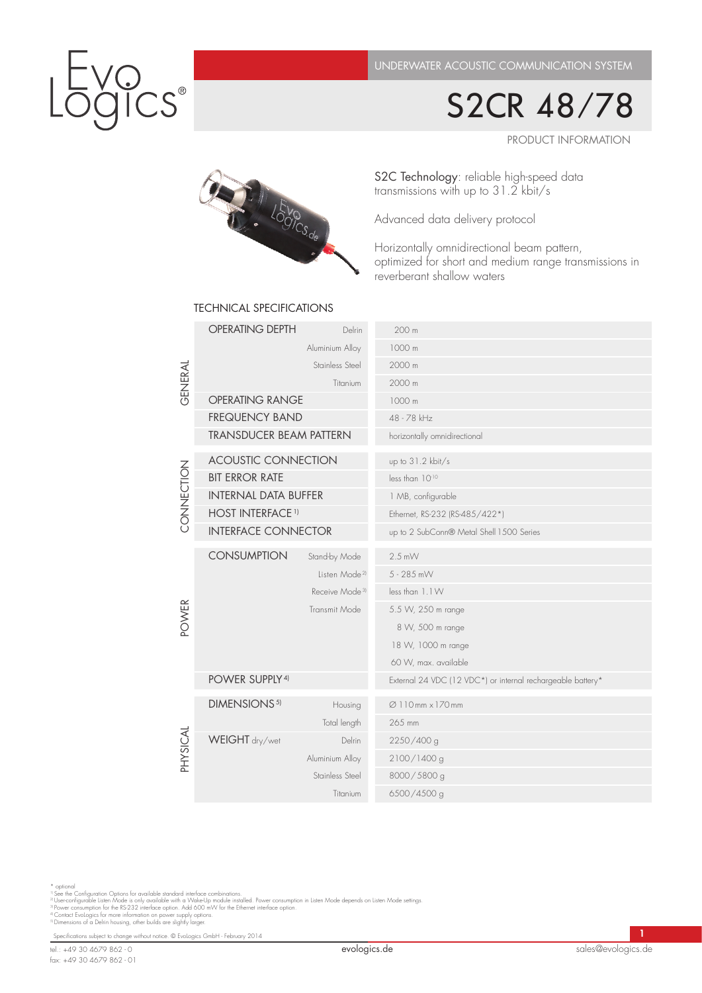S2CR 48/78

Product information



# S2C Technology: reliable high-speed data transmissions with up to 31.2 kbit/s

Advanced data delivery protocol

Horizontally omnidirectional beam pattern, optimized for short and medium range transmissions in reverberant shallow waters

| GENERAL                  | <b>OPERATING DEPTH</b>         | Delrin                     | 200 m                                                       |
|--------------------------|--------------------------------|----------------------------|-------------------------------------------------------------|
|                          | Aluminium Alloy                |                            | 1000 m                                                      |
|                          | Stainless Steel                |                            | 2000 m                                                      |
|                          | Titanium                       |                            | 2000 m                                                      |
|                          | <b>OPERATING RANGE</b>         |                            | 1000 m                                                      |
|                          | <b>FREQUENCY BAND</b>          |                            | 48 - 78 kHz                                                 |
|                          | <b>TRANSDUCER BEAM PATTERN</b> |                            | horizontally omnidirectional                                |
| CONNECTION               | <b>ACOUSTIC CONNECTION</b>     |                            | up to 31.2 kbit/s                                           |
|                          | <b>BIT ERROR RATE</b>          |                            | less than 1010                                              |
|                          | <b>INTERNAL DATA BUFFER</b>    |                            | 1 MB, configurable                                          |
|                          | <b>HOST INTERFACE 1)</b>       |                            | Ethernet, RS-232 (RS-485/422*)                              |
|                          | <b>INTERFACE CONNECTOR</b>     |                            | up to 2 SubConn® Metal Shell 1500 Series                    |
| <b>POWER</b><br>PHYSICAL |                                |                            |                                                             |
|                          | <b>CONSUMPTION</b>             | Stand-by Mode              | $2.5$ mW                                                    |
|                          |                                | Listen Mode <sup>21</sup>  | 5 - 285 mW                                                  |
|                          |                                | Receive Mode <sup>31</sup> | less than 1.1 W                                             |
|                          |                                | Transmit Mode              | 5.5 W, 250 m range                                          |
|                          |                                |                            | 8 W, 500 m range                                            |
|                          |                                |                            | 18 W, 1000 m range                                          |
|                          |                                |                            | 60 W, max. available                                        |
|                          | POWER SUPPLY <sup>4)</sup>     |                            | External 24 VDC (12 VDC*) or internal rechargeable battery* |
|                          | DIMENSIONS <sup>5)</sup>       | Housing                    | Ø110mm × 170mm                                              |
|                          |                                | Total length               | 265 mm                                                      |
|                          | WEIGHT dry/wet                 | <b>Delrin</b>              | 2250/400 g                                                  |
|                          |                                | Aluminium Alloy            | 2100/1400 g                                                 |
|                          | Stainless Steel                |                            | 8000/5800 g                                                 |
|                          |                                | Titanium                   | 6500/4500 g                                                 |
|                          |                                |                            |                                                             |

### technical specifications

\* optional<br>")See the Configuration Options for available standard interface combinations.<br>"! Userconfigurable Listen Mode is only available with a Wake-Up module installed. Power consumption in Listen Mode depends on Liste

Specifications subject to change without notice. © EvoLogics GmbH - February 2014